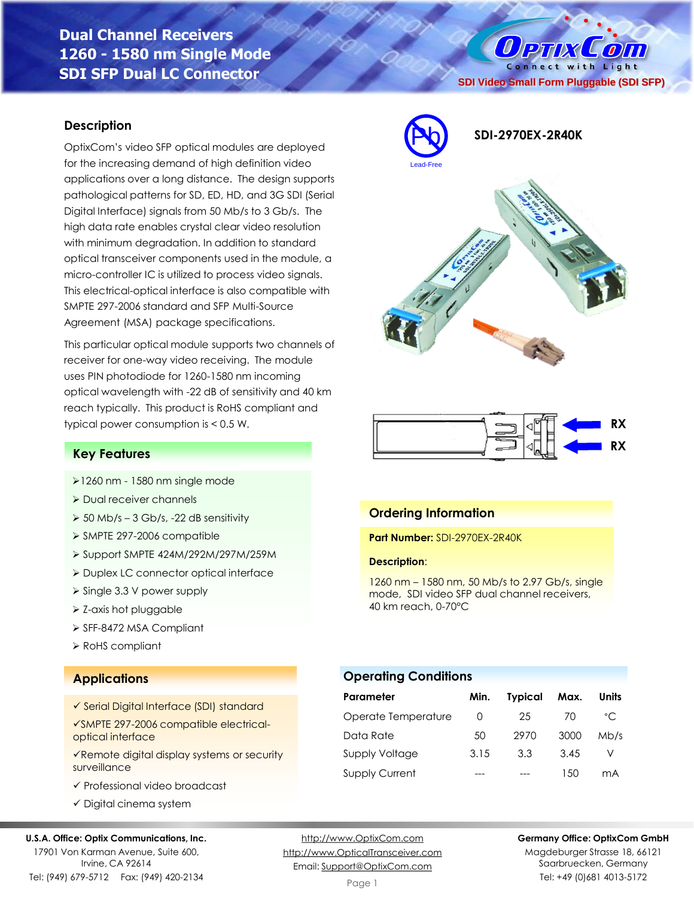# **Dual Channel Receivers 1260 - 1580 nm Single Mode SDI SFP Dual LC Connector**

#### **Description**

OptixCom's video SFP optical modules are deployed for the increasing demand of high definition video applications over a long distance. The design supports pathological patterns for SD, ED, HD, and 3G SDI (Serial Digital Interface) signals from 50 Mb/s to 3 Gb/s. The high data rate enables crystal clear video resolution with minimum degradation. In addition to standard optical transceiver components used in the module, a micro-controller IC is utilized to process video signals. This electrical-optical interface is also compatible with SMPTE 297-2006 standard and SFP Multi-Source Agreement (MSA) package specifications.

This particular optical module supports two channels of receiver for one-way video receiving. The module uses PIN photodiode for 1260-1580 nm incoming optical wavelength with -22 dB of sensitivity and 40 km reach typically. This product is RoHS compliant and typical power consumption is < 0.5 W.

#### **Key Features**

- ➢1260 nm 1580 nm single mode
- ➢ Dual receiver channels
- $\geq 50$  Mb/s 3 Gb/s, -22 dB sensitivity
- ➢ SMPTE 297-2006 compatible
- ➢ Support SMPTE 424M/292M/297M/259M
- ➢ Duplex LC connector optical interface
- ➢ Single 3.3 V power supply
- ➢ Z-axis hot pluggable
- ➢ SFF-8472 MSA Compliant
- ➢ RoHS compliant

### **Applications**

- ✓ Serial Digital Interface (SDI) standard
- ✓SMPTE 297-2006 compatible electricaloptical interface
- ✓Remote digital display systems or security surveillance
- ✓ Professional video broadcast
- ✓ Digital cinema system

#### **U.S.A. Office: Optix Communications, Inc.**

17901 Von Karman Avenue, Suite 600, Irvine, CA 92614 Tel: (949) 679-5712 Fax: (949) 420-2134 [http://www.OpticalTransceiver.com](http://www.optoictech.com/) Email: [Support@OptixCom.com](mailto:Support@optoICtech.com)

Page 1

#### **Germany Office: OptixCom GmbH**

Magdeburger Strasse 18, 66121 Saarbruecken, Germany Tel: +49 (0)681 4013-5172







#### **Ordering Information**

**Part Number:** SDI-2970EX-2R40K

#### **Description**:

1260 nm – 1580 nm, 50 Mb/s to 2.97 Gb/s, single mode, SDI video SFP dual channel receivers, 40 km reach, 0-70°C

Data Rate 50 2970 3000 Mb/s Supply Voltage 3.15 3.3 3.45 V Supply Current --- --- 150 mA

# [http://www.OptixCom.com](http://www.optixcom.com/)

**SDI Video Small Form Pluggable (SDI SFP)**

 $0$  PTIX

Connect with Light

 $\left( 0\right)$ 

Pb **SDI-2970EX-2R40K**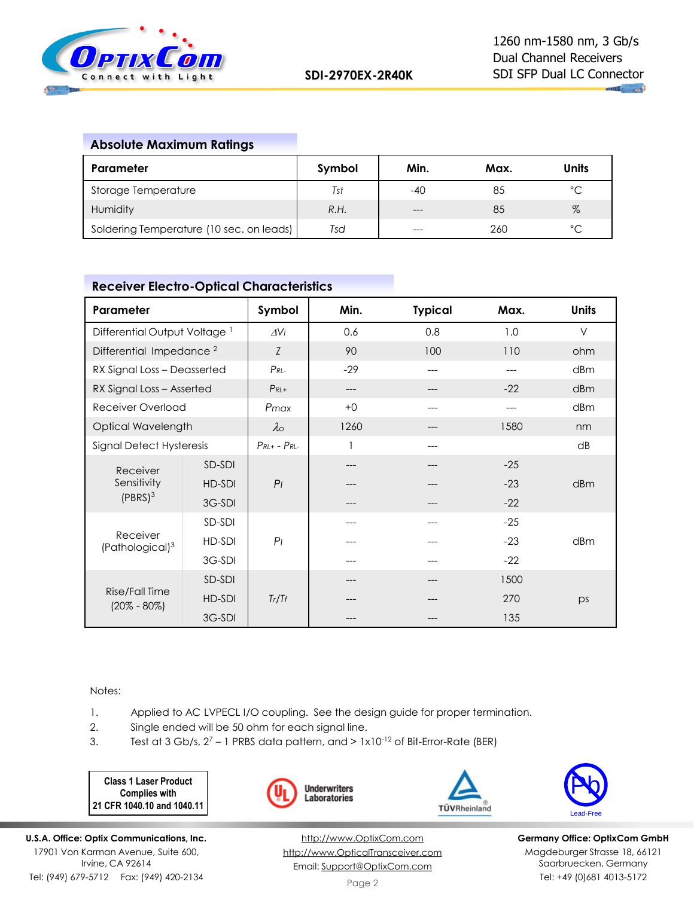

# **Absolute Maximum Ratings**

| Parameter                                | Symbol | Min.  | Max. | Units        |
|------------------------------------------|--------|-------|------|--------------|
| Storage Temperature                      | Tst    | -40   | 85   | $^{\circ}$ C |
| Humidity                                 | R.H.   | $---$ | 85   | $\%$         |
| Soldering Temperature (10 sec. on leads) | Tsd    | $---$ | 260  | $\hat{C}$    |

## **Receiver Electro-Optical Characteristics**

| Parameter                                |        | Symbol                | Min.  | <b>Typical</b> | Max.  | <b>Units</b> |
|------------------------------------------|--------|-----------------------|-------|----------------|-------|--------------|
| Differential Output Voltage <sup>1</sup> |        | $\Delta V$ i          | 0.6   | 0.8            | 1.0   | $\vee$       |
| Differential Impedance <sup>2</sup>      |        | Z                     | 90    | 100            | 110   | ohm          |
| RX Signal Loss - Deasserted              |        | $P_{RL}$              | $-29$ | ---            |       | dBm          |
| RX Signal Loss - Asserted                |        | $P_{RL+}$             | ---   |                | $-22$ | dBm          |
| Receiver Overload                        |        | Pmax                  | $+0$  |                |       | dBm          |
| Optical Wavelength                       |        | $\lambda \circ$       | 1260  |                | 1580  | nm           |
| Signal Detect Hysteresis                 |        | $P_{RL+}$ - $P_{RL-}$ |       |                |       | dB           |
| Receiver<br>Sensitivity<br>$(PBRS)^3$    | SD-SDI |                       | ---   |                | $-25$ |              |
|                                          | HD-SDI | P <sub>1</sub>        |       |                | $-23$ | dBm          |
|                                          | 3G-SDI |                       |       |                | $-22$ |              |
| Receiver<br>(Pathological) <sup>3</sup>  | SD-SDI |                       | ---   |                | $-25$ |              |
|                                          | HD-SDI | P <sub>1</sub>        |       |                | $-23$ | dBm          |
|                                          | 3G-SDI |                       |       |                | $-22$ |              |
| Rise/Fall Time<br>$(20\% - 80\%)$        | SD-SDI |                       |       |                | 1500  |              |
|                                          | HD-SDI | Tr/Tf                 |       |                | 270   | ps           |
|                                          | 3G-SDI |                       |       |                | 135   |              |

Notes:

1. Applied to AC LVPECL I/O coupling. See the design guide for proper termination.

- 2. Single ended will be 50 ohm for each signal line.
- 3. Test at  $3$  Gb/s,  $2^7$  1 PRBS data pattern, and  $> 1 \times 10^{-12}$  of Bit-Error-Rate (BER)

**Class 1 Laser Product Complies with 21 CFR 1040.10 and 1040.11**







**Germany Office: OptixCom GmbH** Magdeburger Strasse 18, 66121 Saarbruecken, Germany Tel: +49 (0)681 4013-5172

[http://www.OptixCom.com](http://www.optixcom.com/) [http://www.OpticalTransceiver.com](http://www.optoictech.com/) Email: [Support@OptixCom.com](mailto:Support@optoICtech.com)